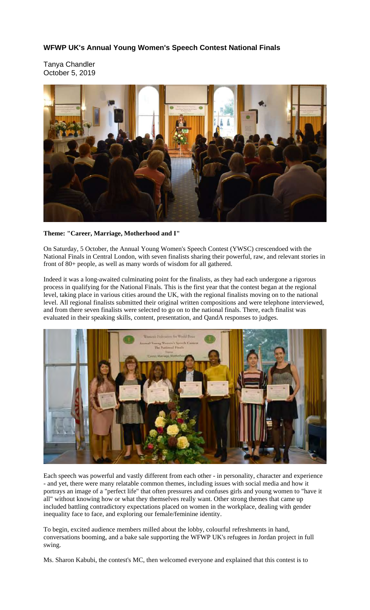## **WFWP UK's Annual Young Women's Speech Contest National Finals**

Tanya Chandler October 5, 2019



## **Theme: "Career, Marriage, Motherhood and I"**

On Saturday, 5 October, the Annual Young Women's Speech Contest (YWSC) crescendoed with the National Finals in Central London, with seven finalists sharing their powerful, raw, and relevant stories in front of 80+ people, as well as many words of wisdom for all gathered.

Indeed it was a long-awaited culminating point for the finalists, as they had each undergone a rigorous process in qualifying for the National Finals. This is the first year that the contest began at the regional level, taking place in various cities around the UK, with the regional finalists moving on to the national level. All regional finalists submitted their original written compositions and were telephone interviewed, and from there seven finalists were selected to go on to the national finals. There, each finalist was evaluated in their speaking skills, content, presentation, and QandA responses to judges.



Each speech was powerful and vastly different from each other - in personality, character and experience - and yet, there were many relatable common themes, including issues with social media and how it portrays an image of a "perfect life" that often pressures and confuses girls and young women to "have it all" without knowing how or what they themselves really want. Other strong themes that came up included battling contradictory expectations placed on women in the workplace, dealing with gender inequality face to face, and exploring our female/feminine identity.

To begin, excited audience members milled about the lobby, colourful refreshments in hand, conversations booming, and a bake sale supporting the WFWP UK's refugees in Jordan project in full swing.

Ms. Sharon Kabubi, the contest's MC, then welcomed everyone and explained that this contest is to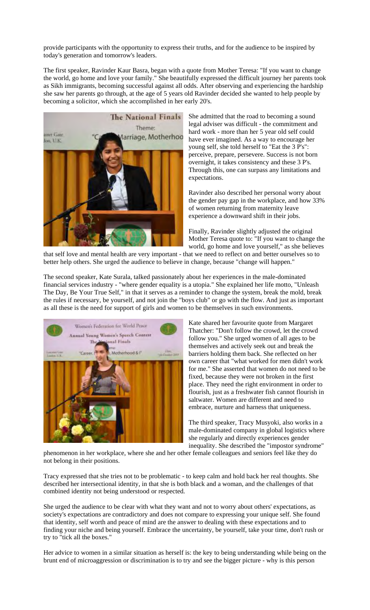provide participants with the opportunity to express their truths, and for the audience to be inspired by today's generation and tomorrow's leaders.

The first speaker, Ravinder Kaur Basra, began with a quote from Mother Teresa: "If you want to change the world, go home and love your family." She beautifully expressed the difficult journey her parents took as Sikh immigrants, becoming successful against all odds. After observing and experiencing the hardship she saw her parents go through, at the age of 5 years old Ravinder decided she wanted to help people by becoming a solicitor, which she accomplished in her early 20's.



She admitted that the road to becoming a sound legal adviser was difficult - the commitment and hard work - more than her 5 year old self could have ever imagined. As a way to encourage her young self, she told herself to "Eat the 3 P's": perceive, prepare, persevere. Success is not born overnight, it takes consistency and these 3 P's. Through this, one can surpass any limitations and expectations.

Ravinder also described her personal worry about the gender pay gap in the workplace, and how 33% of women returning from maternity leave experience a downward shift in their jobs.

Finally, Ravinder slightly adjusted the original Mother Teresa quote to: "If you want to change the world, go home and love yourself," as she believes

that self love and mental health are very important - that we need to reflect on and better ourselves so to better help others. She urged the audience to believe in change, because "change will happen."

The second speaker, Kate Surala, talked passionately about her experiences in the male-dominated financial services industry - "where gender equality is a utopia." She explained her life motto, "Unleash The Day, Be Your True Self," in that it serves as a reminder to change the system, break the mold, break the rules if necessary, be yourself, and not join the "boys club" or go with the flow. And just as important as all these is the need for support of girls and women to be themselves in such environments.



Kate shared her favourite quote from Margaret Thatcher: "Don't follow the crowd, let the crowd follow you." She urged women of all ages to be themselves and actively seek out and break the barriers holding them back. She reflected on her own career that "what worked for men didn't work for me." She asserted that women do not need to be fixed, because they were not broken in the first place. They need the right environment in order to flourish, just as a freshwater fish cannot flourish in saltwater. Women are different and need to embrace, nurture and harness that uniqueness.

The third speaker, Tracy Musyoki, also works in a male-dominated company in global logistics where she regularly and directly experiences gender inequality. She described the "impostor syndrome"

phenomenon in her workplace, where she and her other female colleagues and seniors feel like they do not belong in their positions.

Tracy expressed that she tries not to be problematic - to keep calm and hold back her real thoughts. She described her intersectional identity, in that she is both black and a woman, and the challenges of that combined identity not being understood or respected.

She urged the audience to be clear with what they want and not to worry about others' expectations, as society's expectations are contradictory and does not compare to expressing your unique self. She found that identity, self worth and peace of mind are the answer to dealing with these expectations and to finding your niche and being yourself. Embrace the uncertainty, be yourself, take your time, don't rush or try to "tick all the boxes."

Her advice to women in a similar situation as herself is: the key to being understanding while being on the brunt end of microaggression or discrimination is to try and see the bigger picture - why is this person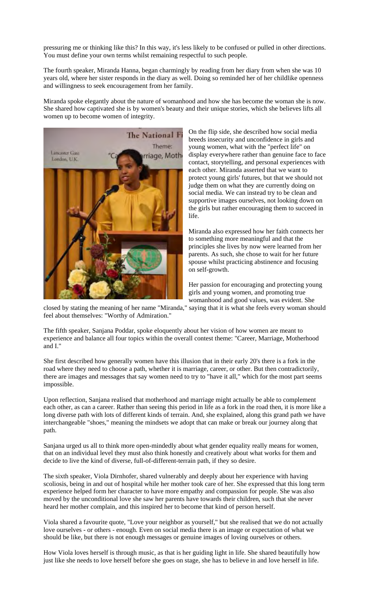pressuring me or thinking like this? In this way, it's less likely to be confused or pulled in other directions. You must define your own terms whilst remaining respectful to such people.

The fourth speaker, Miranda Hanna, began charmingly by reading from her diary from when she was 10 years old, where her sister responds in the diary as well. Doing so reminded her of her childlike openness and willingness to seek encouragement from her family.

Miranda spoke elegantly about the nature of womanhood and how she has become the woman she is now. She shared how captivated she is by women's beauty and their unique stories, which she believes lifts all women up to become women of integrity.



On the flip side, she described how social media breeds insecurity and unconfidence in girls and young women, what with the "perfect life" on display everywhere rather than genuine face to face contact, storytelling, and personal experiences with each other. Miranda asserted that we want to protect young girls' futures, but that we should not judge them on what they are currently doing on social media. We can instead try to be clean and supportive images ourselves, not looking down on the girls but rather encouraging them to succeed in life.

Miranda also expressed how her faith connects her to something more meaningful and that the principles she lives by now were learned from her parents. As such, she chose to wait for her future spouse whilst practicing abstinence and focusing on self-growth.

Her passion for encouraging and protecting young girls and young women, and promoting true womanhood and good values, was evident. She

closed by stating the meaning of her name "Miranda," saying that it is what she feels every woman should feel about themselves: "Worthy of Admiration."

The fifth speaker, Sanjana Poddar, spoke eloquently about her vision of how women are meant to experience and balance all four topics within the overall contest theme: "Career, Marriage, Motherhood and I."

She first described how generally women have this illusion that in their early 20's there is a fork in the road where they need to choose a path, whether it is marriage, career, or other. But then contradictorily, there are images and messages that say women need to try to "have it all," which for the most part seems impossible.

Upon reflection, Sanjana realised that motherhood and marriage might actually be able to complement each other, as can a career. Rather than seeing this period in life as a fork in the road then, it is more like a long diverse path with lots of different kinds of terrain. And, she explained, along this grand path we have interchangeable "shoes," meaning the mindsets we adopt that can make or break our journey along that path.

Sanjana urged us all to think more open-mindedly about what gender equality really means for women, that on an individual level they must also think honestly and creatively about what works for them and decide to live the kind of diverse, full-of-different-terrain path, if they so desire.

The sixth speaker, Viola Dirnhofer, shared vulnerably and deeply about her experience with having scoliosis, being in and out of hospital while her mother took care of her. She expressed that this long term experience helped form her character to have more empathy and compassion for people. She was also moved by the unconditional love she saw her parents have towards their children, such that she never heard her mother complain, and this inspired her to become that kind of person herself.

Viola shared a favourite quote, "Love your neighbor as yourself," but she realised that we do not actually love ourselves - or others - enough. Even on social media there is an image or expectation of what we should be like, but there is not enough messages or genuine images of loving ourselves or others.

How Viola loves herself is through music, as that is her guiding light in life. She shared beautifully how just like she needs to love herself before she goes on stage, she has to believe in and love herself in life.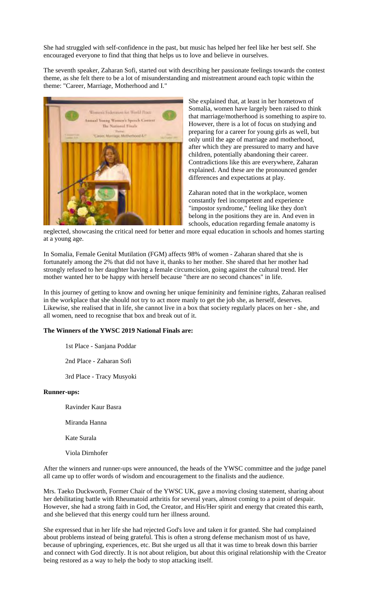She had struggled with self-confidence in the past, but music has helped her feel like her best self. She encouraged everyone to find that thing that helps us to love and believe in ourselves.

The seventh speaker, Zaharan Sofi, started out with describing her passionate feelings towards the contest theme, as she felt there to be a lot of misunderstanding and mistreatment around each topic within the theme: "Career, Marriage, Motherhood and I."



She explained that, at least in her hometown of Somalia, women have largely been raised to think that marriage/motherhood is something to aspire to. However, there is a lot of focus on studying and preparing for a career for young girls as well, but only until the age of marriage and motherhood, after which they are pressured to marry and have children, potentially abandoning their career. Contradictions like this are everywhere, Zaharan explained. And these are the pronounced gender differences and expectations at play.

Zaharan noted that in the workplace, women constantly feel incompetent and experience "impostor syndrome," feeling like they don't belong in the positions they are in. And even in schools, education regarding female anatomy is

neglected, showcasing the critical need for better and more equal education in schools and homes starting at a young age.

In Somalia, Female Genital Mutilation (FGM) affects 98% of women - Zaharan shared that she is fortunately among the 2% that did not have it, thanks to her mother. She shared that her mother had strongly refused to her daughter having a female circumcision, going against the cultural trend. Her mother wanted her to be happy with herself because "there are no second chances" in life.

In this journey of getting to know and owning her unique femininity and feminine rights, Zaharan realised in the workplace that she should not try to act more manly to get the job she, as herself, deserves. Likewise, she realised that in life, she cannot live in a box that society regularly places on her - she, and all women, need to recognise that box and break out of it.

## **The Winners of the YWSC 2019 National Finals are:**

1st Place - Sanjana Poddar

2nd Place - Zaharan Sofi

3rd Place - Tracy Musyoki

## **Runner-ups:**

Ravinder Kaur Basra

Miranda Hanna

Kate Surala

Viola Dirnhofer

After the winners and runner-ups were announced, the heads of the YWSC committee and the judge panel all came up to offer words of wisdom and encouragement to the finalists and the audience.

Mrs. Taeko Duckworth, Former Chair of the YWSC UK, gave a moving closing statement, sharing about her debilitating battle with Rheumatoid arthritis for several years, almost coming to a point of despair. However, she had a strong faith in God, the Creator, and His/Her spirit and energy that created this earth, and she believed that this energy could turn her illness around.

She expressed that in her life she had rejected God's love and taken it for granted. She had complained about problems instead of being grateful. This is often a strong defense mechanism most of us have, because of upbringing, experiences, etc. But she urged us all that it was time to break down this barrier and connect with God directly. It is not about religion, but about this original relationship with the Creator being restored as a way to help the body to stop attacking itself.